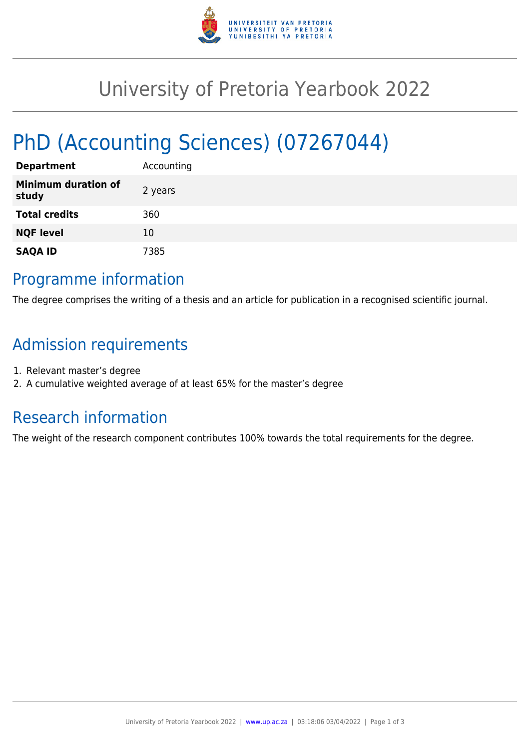

## University of Pretoria Yearbook 2022

# PhD (Accounting Sciences) (07267044)

| <b>Department</b>                   | Accounting |
|-------------------------------------|------------|
| <b>Minimum duration of</b><br>study | 2 years    |
| <b>Total credits</b>                | 360        |
| <b>NQF level</b>                    | 10         |
| <b>SAQA ID</b>                      | 7385       |

#### Programme information

The degree comprises the writing of a thesis and an article for publication in a recognised scientific journal.

## Admission requirements

- 1. Relevant master's degree
- 2. A cumulative weighted average of at least 65% for the master's degree

#### Research information

The weight of the research component contributes 100% towards the total requirements for the degree.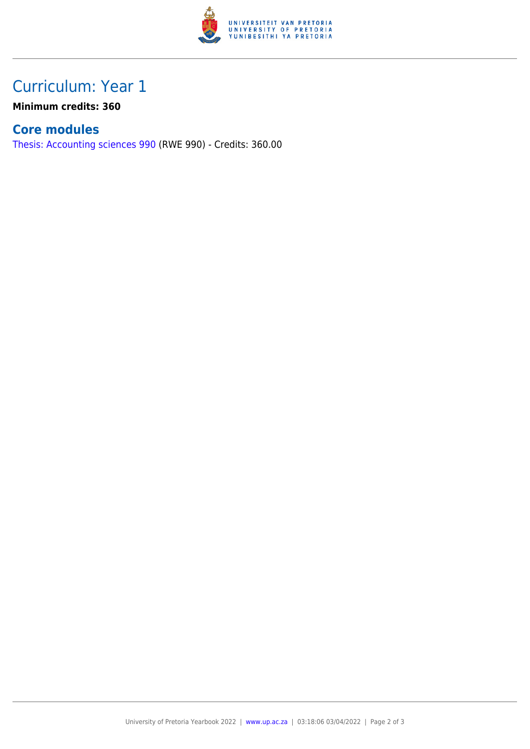

### Curriculum: Year 1

**Minimum credits: 360**

#### **Core modules**

[Thesis: Accounting sciences 990](https://www.up.ac.za/yearbooks/2022/modules/view/RWE 990) (RWE 990) - Credits: 360.00